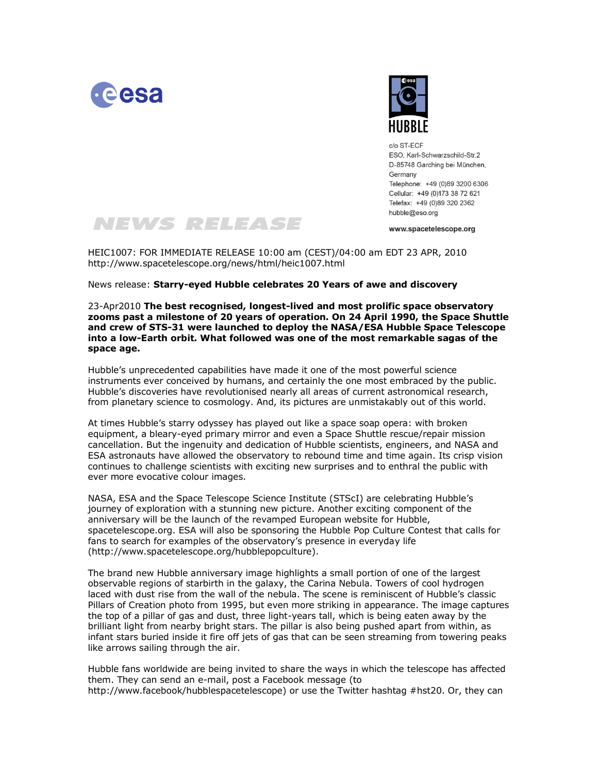



 $c/\alpha$  ST-FCF FSO Karl-Schwarzschild-Str 2 D-85748 Garching bei München, Germany Telephone: +49 (0)89 3200 6306 Cellular: +49 (0)173 38 72 621 Telefax: +49 (0)89 320 2362 hubble@eso.org

www.spacetelescope.org

HEIC1007: FOR IMMEDIATE RELEASE 10:00 am (CEST)/04:00 am EDT 23 APR, 2010 http://www.spacetelescope.org/news/html/heic1007.html

NEWS RELEASE

News release: **Starry-eyed Hubble celebrates 20 Years of awe and discovery**

23-Apr2010 **The best recognised, longest-lived and most prolific space observatory zooms past a milestone of 20 years of operation. On 24 April 1990, the Space Shuttle and crew of STS-31 were launched to deploy the NASA/ESA Hubble Space Telescope into a low-Earth orbit. What followed was one of the most remarkable sagas of the space age.**

Hubble's unprecedented capabilities have made it one of the most powerful science instruments ever conceived by humans, and certainly the one most embraced by the public. Hubble's discoveries have revolutionised nearly all areas of current astronomical research, from planetary science to cosmology. And, its pictures are unmistakably out of this world.

At times Hubble's starry odyssey has played out like a space soap opera: with broken equipment, a bleary-eyed primary mirror and even a Space Shuttle rescue/repair mission cancellation. But the ingenuity and dedication of Hubble scientists, engineers, and NASA and ESA astronauts have allowed the observatory to rebound time and time again. Its crisp vision continues to challenge scientists with exciting new surprises and to enthral the public with ever more evocative colour images.

NASA, ESA and the Space Telescope Science Institute (STScI) are celebrating Hubble's journey of exploration with a stunning new picture. Another exciting component of the anniversary will be the launch of the revamped European website for Hubble, spacetelescope.org. ESA will also be sponsoring the Hubble Pop Culture Contest that calls for fans to search for examples of the observatory's presence in everyday life (http://www.spacetelescope.org/hubblepopculture).

The brand new Hubble anniversary image highlights a small portion of one of the largest observable regions of starbirth in the galaxy, the Carina Nebula. Towers of cool hydrogen laced with dust rise from the wall of the nebula. The scene is reminiscent of Hubble's classic Pillars of Creation photo from 1995, but even more striking in appearance. The image captures the top of a pillar of gas and dust, three light-years tall, which is being eaten away by the brilliant light from nearby bright stars. The pillar is also being pushed apart from within, as infant stars buried inside it fire off jets of gas that can be seen streaming from towering peaks like arrows sailing through the air.

Hubble fans worldwide are being invited to share the ways in which the telescope has affected them. They can send an e-mail, post a Facebook message (to http://www.facebook/hubblespacetelescope) or use the Twitter hashtag #hst20. Or, they can